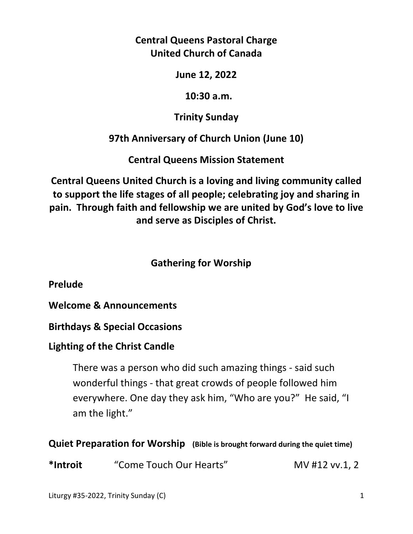**Central Queens Pastoral Charge United Church of Canada** 

**June 12, 2022** 

 **10:30 a.m.** 

**Trinity Sunday** 

**97th Anniversary of Church Union (June 10)** 

**Central Queens Mission Statement** 

**Central Queens United Church is a loving and living community called to support the life stages of all people; celebrating joy and sharing in pain. Through faith and fellowship we are united by God's love to live and serve as Disciples of Christ.**

# **Gathering for Worship**

**Prelude** 

**Welcome & Announcements** 

**Birthdays & Special Occasions** 

# **Lighting of the Christ Candle**

There was a person who did such amazing things - said such wonderful things - that great crowds of people followed him everywhere. One day they ask him, "Who are you?" He said, "I am the light."

**Quiet Preparation for Worship (Bible is brought forward during the quiet time)** 

**\*Introit** "Come Touch Our Hearts" MV #12 vv.1, 2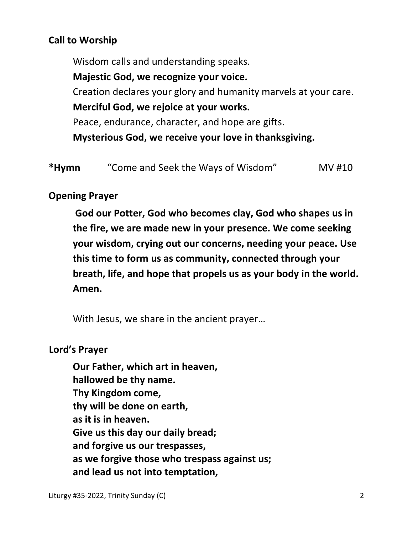# **Call to Worship**

 Wisdom calls and understanding speaks.  **Majestic God, we recognize your voice.**  Creation declares your glory and humanity marvels at your care.  **Merciful God, we rejoice at your works.**  Peace, endurance, character, and hope are gifts.  **Mysterious God, we receive your love in thanksgiving.** 

| *Hymn | "Come and Seek the Ways of Wisdom" | MV #10 |
|-------|------------------------------------|--------|
|-------|------------------------------------|--------|

### **Opening Prayer**

 **God our Potter, God who becomes clay, God who shapes us in the fire, we are made new in your presence. We come seeking your wisdom, crying out our concerns, needing your peace. Use this time to form us as community, connected through your breath, life, and hope that propels us as your body in the world. Amen.** 

With Jesus, we share in the ancient prayer…

### **Lord's Prayer**

**Our Father, which art in heaven, hallowed be thy name. Thy Kingdom come, thy will be done on earth, as it is in heaven. Give us this day our daily bread; and forgive us our trespasses, as we forgive those who trespass against us; and lead us not into temptation,**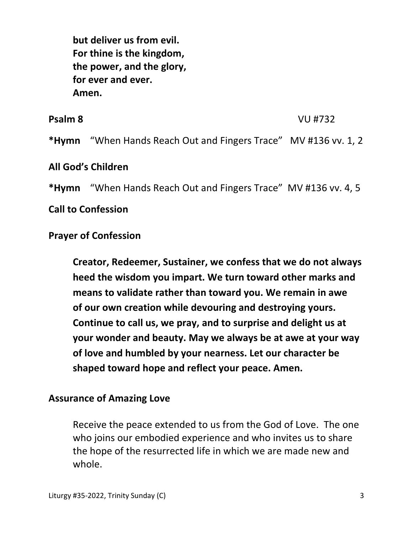**but deliver us from evil. For thine is the kingdom, the power, and the glory, for ever and ever. Amen.** 

**Psalm 8** VU #732 **\*Hymn** "When Hands Reach Out and Fingers Trace" MV #136 vv. 1, 2

### **All God's Children**

**\*Hymn** "When Hands Reach Out and Fingers Trace" MV #136 vv. 4, 5

**Call to Confession**

### **Prayer of Confession**

 **Creator, Redeemer, Sustainer, we confess that we do not always heed the wisdom you impart. We turn toward other marks and means to validate rather than toward you. We remain in awe of our own creation while devouring and destroying yours. Continue to call us, we pray, and to surprise and delight us at your wonder and beauty. May we always be at awe at your way of love and humbled by your nearness. Let our character be shaped toward hope and reflect your peace. Amen.** 

#### **Assurance of Amazing Love**

 Receive the peace extended to us from the God of Love. The one who joins our embodied experience and who invites us to share the hope of the resurrected life in which we are made new and whole.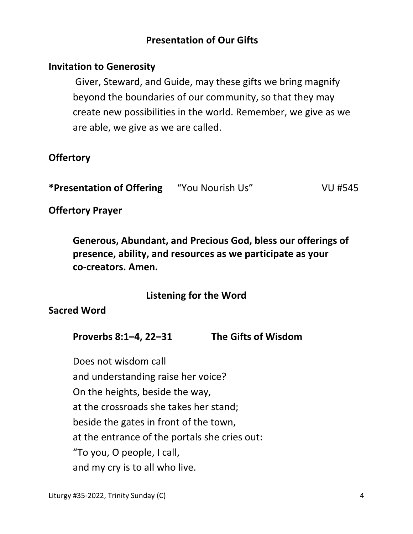# **Presentation of Our Gifts**

### **Invitation to Generosity**

 Giver, Steward, and Guide, may these gifts we bring magnify beyond the boundaries of our community, so that they may create new possibilities in the world. Remember, we give as we are able, we give as we are called.

## **Offertory**

**\*Presentation of Offering** "You Nourish Us" VU #545

**Offertory Prayer** 

**Generous, Abundant, and Precious God, bless our offerings of presence, ability, and resources as we participate as your co-creators. Amen.** 

## **Listening for the Word**

## **Sacred Word**

**Proverbs 8:1–4, 22–31 The Gifts of Wisdom** 

 Does not wisdom call and understanding raise her voice? On the heights, beside the way, at the crossroads she takes her stand; beside the gates in front of the town, at the entrance of the portals she cries out: "To you, O people, I call, and my cry is to all who live.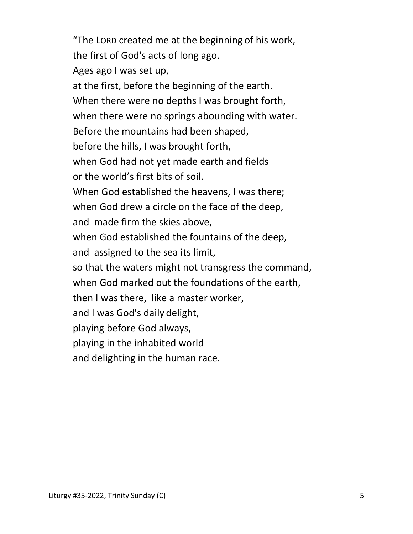"The LORD created me at the beginning of his work, the first of God's acts of long ago. Ages ago I was set up, at the first, before the beginning of the earth. When there were no depths I was brought forth, when there were no springs abounding with water. Before the mountains had been shaped, before the hills, I was brought forth, when God had not yet made earth and fields or the world's first bits of soil. When God established the heavens, I was there; when God drew a circle on the face of the deep, and made firm the skies above, when God established the fountains of the deep, and assigned to the sea its limit, so that the waters might not transgress the command, when God marked out the foundations of the earth, then I was there, like a master worker, and I was God's daily delight, playing before God always, playing in the inhabited world and delighting in the human race.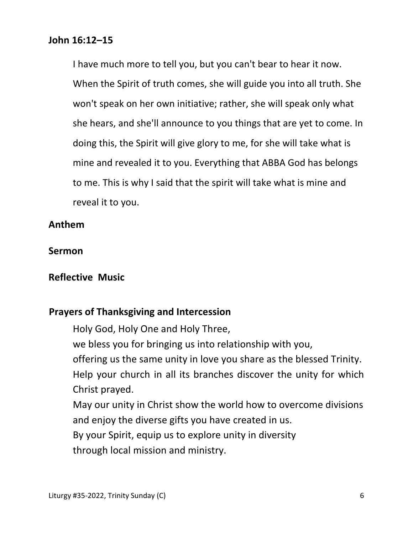#### **John 16:12–15**

I have much more to tell you, but you can't bear to hear it now. When the Spirit of truth comes, she will guide you into all truth. She won't speak on her own initiative; rather, she will speak only what she hears, and she'll announce to you things that are yet to come. In doing this, the Spirit will give glory to me, for she will take what is mine and revealed it to you. Everything that ABBA God has belongs to me. This is why I said that the spirit will take what is mine and reveal it to you.

#### **Anthem**

#### **Sermon**

#### **Reflective Music**

#### **Prayers of Thanksgiving and Intercession**

 Holy God, Holy One and Holy Three, we bless you for bringing us into relationship with you, offering us the same unity in love you share as the blessed Trinity. Help your church in all its branches discover the unity for which Christ prayed. May our unity in Christ show the world how to overcome divisions

and enjoy the diverse gifts you have created in us.

By your Spirit, equip us to explore unity in diversity

through local mission and ministry.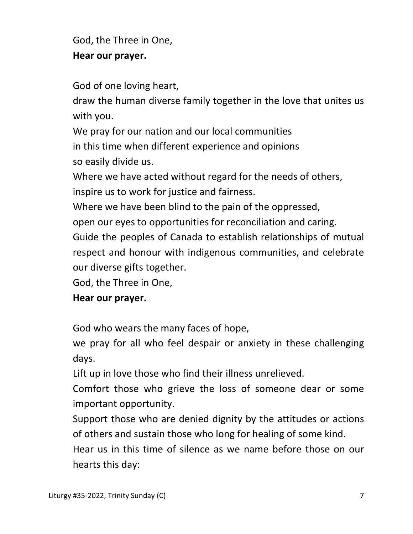God, the Three in One,  **Hear our prayer.** 

God of one loving heart,

 draw the human diverse family together in the love that unites us with you.

 We pray for our nation and our local communities in this time when different experience and opinions so easily divide us.

 Where we have acted without regard for the needs of others, inspire us to work for justice and fairness.

Where we have been blind to the pain of the oppressed,

open our eyes to opportunities for reconciliation and caring.

 Guide the peoples of Canada to establish relationships of mutual respect and honour with indigenous communities, and celebrate our diverse gifts together.

God, the Three in One,

# **Hear our prayer.**

God who wears the many faces of hope,

 we pray for all who feel despair or anxiety in these challenging days.

Lift up in love those who find their illness unrelieved.

 Comfort those who grieve the loss of someone dear or some important opportunity.

Support those who are denied dignity by the attitudes or actions of others and sustain those who long for healing of some kind.

 Hear us in this time of silence as we name before those on our hearts this day: